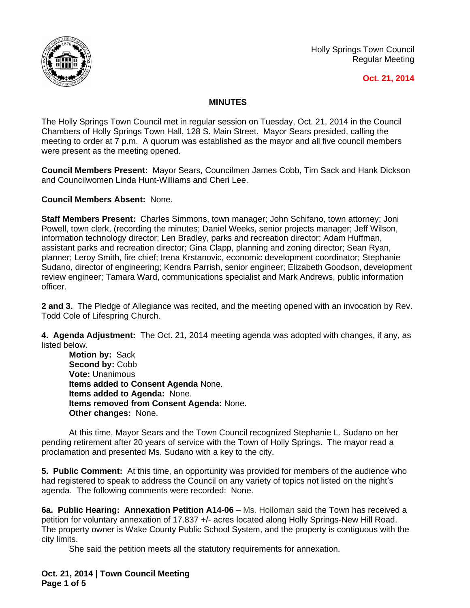

Holly Springs Town Council Regular Meeting

## **Oct. 21, 2014**

## **MINUTES**

The Holly Springs Town Council met in regular session on Tuesday, Oct. 21, 2014 in the Council Chambers of Holly Springs Town Hall, 128 S. Main Street. Mayor Sears presided, calling the meeting to order at 7 p.m. A quorum was established as the mayor and all five council members were present as the meeting opened.

**Council Members Present:** Mayor Sears, Councilmen James Cobb, Tim Sack and Hank Dickson and Councilwomen Linda Hunt-Williams and Cheri Lee.

**Council Members Absent:** None.

**Staff Members Present:** Charles Simmons, town manager; John Schifano, town attorney; Joni Powell, town clerk, (recording the minutes; Daniel Weeks, senior projects manager; Jeff Wilson, information technology director; Len Bradley, parks and recreation director; Adam Huffman, assistant parks and recreation director; Gina Clapp, planning and zoning director; Sean Ryan, planner; Leroy Smith, fire chief; Irena Krstanovic, economic development coordinator; Stephanie Sudano, director of engineering; Kendra Parrish, senior engineer; Elizabeth Goodson, development review engineer; Tamara Ward, communications specialist and Mark Andrews, public information officer.

**2 and 3.** The Pledge of Allegiance was recited, and the meeting opened with an invocation by Rev. Todd Cole of Lifespring Church.

**4. Agenda Adjustment:** The Oct. 21, 2014 meeting agenda was adopted with changes, if any, as listed below.

**Motion by:** Sack Second by: Cobb **Vote:** Unanimous **Items added to Consent Agenda** None. **Items added to Agenda:** None. **Items removed from Consent Agenda:** None. **Other changes:** None.

At this time, Mayor Sears and the Town Council recognized Stephanie L. Sudano on her pending retirement after 20 years of service with the Town of Holly Springs. The mayor read a proclamation and presented Ms. Sudano with a key to the city.

**5. Public Comment:** At this time, an opportunity was provided for members of the audience who had registered to speak to address the Council on any variety of topics not listed on the night's agenda. The following comments were recorded: None.

**6a. Public Hearing: Annexation Petition A14-06 –** Ms. Holloman said the Town has received a petition for voluntary annexation of 17.837 +/- acres located along Holly Springs-New Hill Road. The property owner is Wake County Public School System, and the property is contiguous with the city limits.

She said the petition meets all the statutory requirements for annexation.

**Oct. 21, 2014 | Town Council Meeting Page 1 of 5**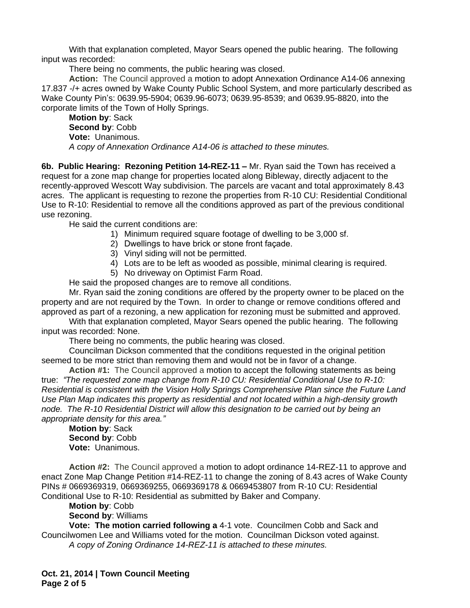With that explanation completed, Mayor Sears opened the public hearing. The following input was recorded:

There being no comments, the public hearing was closed.

**Action:** The Council approved a motion to adopt Annexation Ordinance A14-06 annexing 17.837 -/+ acres owned by Wake County Public School System, and more particularly described as Wake County Pin's: 0639.95-5904; 0639.96-6073; 0639.95-8539; and 0639.95-8820, into the corporate limits of the Town of Holly Springs.

**Motion by**: Sack **Second by**: Cobb **Vote:** Unanimous. *A copy of Annexation Ordinance A14-06 is attached to these minutes.*

**6b. Public Hearing: Rezoning Petition 14-REZ-11 –** Mr. Ryan said the Town has received a request for a zone map change for properties located along Bibleway, directly adjacent to the recently-approved Wescott Way subdivision. The parcels are vacant and total approximately 8.43 acres. The applicant is requesting to rezone the properties from R-10 CU: Residential Conditional Use to R-10: Residential to remove all the conditions approved as part of the previous conditional use rezoning.

He said the current conditions are:

- 1) Minimum required square footage of dwelling to be 3,000 sf.
- 2) Dwellings to have brick or stone front façade.
- 3) Vinyl siding will not be permitted.
- 4) Lots are to be left as wooded as possible, minimal clearing is required.
- 5) No driveway on Optimist Farm Road.

He said the proposed changes are to remove all conditions.

Mr. Ryan said the zoning conditions are offered by the property owner to be placed on the property and are not required by the Town. In order to change or remove conditions offered and approved as part of a rezoning, a new application for rezoning must be submitted and approved.

With that explanation completed, Mayor Sears opened the public hearing. The following input was recorded: None.

There being no comments, the public hearing was closed.

Councilman Dickson commented that the conditions requested in the original petition seemed to be more strict than removing them and would not be in favor of a change.

**Action #1:** The Council approved a motion to accept the following statements as being true: *"The requested zone map change from R-10 CU: Residential Conditional Use to R-10: Residential is consistent with the Vision Holly Springs Comprehensive Plan since the Future Land Use Plan Map indicates this property as residential and not located within a high-density growth node. The R-10 Residential District will allow this designation to be carried out by being an appropriate density for this area."*

**Motion by**: Sack **Second by**: Cobb **Vote:** Unanimous.

**Action #2:** The Council approved a motion to adopt ordinance 14-REZ-11 to approve and enact Zone Map Change Petition #14-REZ-11 to change the zoning of 8.43 acres of Wake County PINs # 0669369319, 0669369255, 0669369178 & 0669453807 from R-10 CU: Residential Conditional Use to R-10: Residential as submitted by Baker and Company.

**Motion by**: Cobb

**Second by**: Williams

**Vote: The motion carried following a** 4-1 vote. Councilmen Cobb and Sack and Councilwomen Lee and Williams voted for the motion. Councilman Dickson voted against. *A copy of Zoning Ordinance 14-REZ-11 is attached to these minutes.*

**Oct. 21, 2014 | Town Council Meeting Page 2 of 5**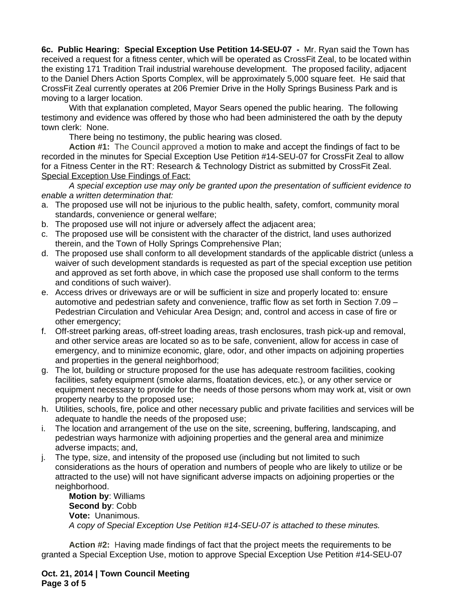**6c. Public Hearing: Special Exception Use Petition 14-SEU-07 -** Mr. Ryan said the Town has received a request for a fitness center, which will be operated as CrossFit Zeal, to be located within the existing 171 Tradition Trail industrial warehouse development. The proposed facility, adjacent to the Daniel Dhers Action Sports Complex, will be approximately 5,000 square feet. He said that CrossFit Zeal currently operates at 206 Premier Drive in the Holly Springs Business Park and is moving to a larger location.

With that explanation completed, Mayor Sears opened the public hearing. The following testimony and evidence was offered by those who had been administered the oath by the deputy town clerk: None.

There being no testimony, the public hearing was closed.

**Action #1:** The Council approved a motion to make and accept the findings of fact to be recorded in the minutes for Special Exception Use Petition #14-SEU-07 for CrossFit Zeal to allow for a Fitness Center in the RT: Research & Technology District as submitted by CrossFit Zeal. Special Exception Use Findings of Fact:

*A special exception use may only be granted upon the presentation of sufficient evidence to enable a written determination that:*

- a. The proposed use will not be injurious to the public health, safety, comfort, community moral standards, convenience or general welfare;
- b. The proposed use will not injure or adversely affect the adjacent area;
- c. The proposed use will be consistent with the character of the district, land uses authorized therein, and the Town of Holly Springs Comprehensive Plan;
- d. The proposed use shall conform to all development standards of the applicable district (unless a waiver of such development standards is requested as part of the special exception use petition and approved as set forth above, in which case the proposed use shall conform to the terms and conditions of such waiver).
- e. Access drives or driveways are or will be sufficient in size and properly located to: ensure automotive and pedestrian safety and convenience, traffic flow as set forth in Section 7.09 – Pedestrian Circulation and Vehicular Area Design; and, control and access in case of fire or other emergency;
- f. Off-street parking areas, off-street loading areas, trash enclosures, trash pick-up and removal, and other service areas are located so as to be safe, convenient, allow for access in case of emergency, and to minimize economic, glare, odor, and other impacts on adjoining properties and properties in the general neighborhood;
- g. The lot, building or structure proposed for the use has adequate restroom facilities, cooking facilities, safety equipment (smoke alarms, floatation devices, etc.), or any other service or equipment necessary to provide for the needs of those persons whom may work at, visit or own property nearby to the proposed use;
- h. Utilities, schools, fire, police and other necessary public and private facilities and services will be adequate to handle the needs of the proposed use;
- i. The location and arrangement of the use on the site, screening, buffering, landscaping, and pedestrian ways harmonize with adjoining properties and the general area and minimize adverse impacts; and,
- j. The type, size, and intensity of the proposed use (including but not limited to such considerations as the hours of operation and numbers of people who are likely to utilize or be attracted to the use) will not have significant adverse impacts on adjoining properties or the neighborhood.

**Motion by**: Williams **Second by**: Cobb **Vote:** Unanimous. *A copy of Special Exception Use Petition #14-SEU-07 is attached to these minutes.*

**Action #2:** Having made findings of fact that the project meets the requirements to be granted a Special Exception Use, motion to approve Special Exception Use Petition #14-SEU-07

**Oct. 21, 2014 | Town Council Meeting Page 3 of 5**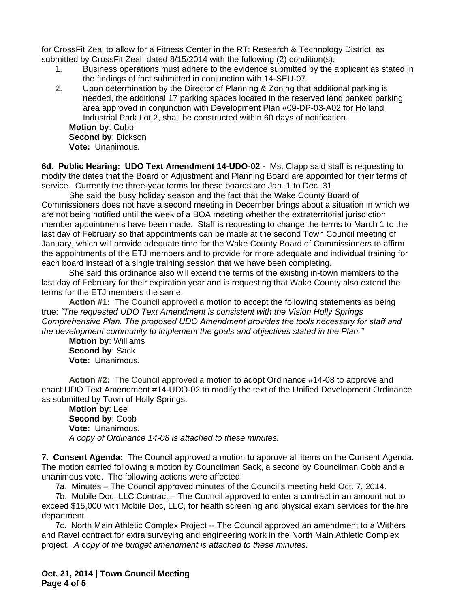for CrossFit Zeal to allow for a Fitness Center in the RT: Research & Technology District as submitted by CrossFit Zeal, dated 8/15/2014 with the following (2) condition(s):

- 1. Business operations must adhere to the evidence submitted by the applicant as stated in the findings of fact submitted in conjunction with 14-SEU-07.
- 2. Upon determination by the Director of Planning & Zoning that additional parking is needed, the additional 17 parking spaces located in the reserved land banked parking area approved in conjunction with Development Plan #09-DP-03-A02 for Holland Industrial Park Lot 2, shall be constructed within 60 days of notification. **Motion by**: Cobb **Second by**: Dickson **Vote:** Unanimous.

**6d. Public Hearing: UDO Text Amendment 14-UDO-02 -** Ms. Clapp said staff is requesting to modify the dates that the Board of Adjustment and Planning Board are appointed for their terms of service. Currently the three-year terms for these boards are Jan. 1 to Dec. 31.

She said the busy holiday season and the fact that the Wake County Board of Commissioners does not have a second meeting in December brings about a situation in which we are not being notified until the week of a BOA meeting whether the extraterritorial jurisdiction member appointments have been made. Staff is requesting to change the terms to March 1 to the last day of February so that appointments can be made at the second Town Council meeting of January, which will provide adequate time for the Wake County Board of Commissioners to affirm the appointments of the ETJ members and to provide for more adequate and individual training for each board instead of a single training session that we have been completing.

She said this ordinance also will extend the terms of the existing in-town members to the last day of February for their expiration year and is requesting that Wake County also extend the terms for the ETJ members the same.

**Action #1:** The Council approved a motion to accept the following statements as being true: *"The requested UDO Text Amendment is consistent with the Vision Holly Springs Comprehensive Plan. The proposed UDO Amendment provides the tools necessary for staff and the development community to implement the goals and objectives stated in the Plan."*

**Motion by**: Williams **Second by**: Sack **Vote:** Unanimous.

**Action #2:** The Council approved a motion to adopt Ordinance #14-08 to approve and enact UDO Text Amendment #14-UDO-02 to modify the text of the Unified Development Ordinance as submitted by Town of Holly Springs.

**Motion by**: Lee **Second by**: Cobb **Vote:** Unanimous. *A copy of Ordinance 14-08 is attached to these minutes.*

**7. Consent Agenda:** The Council approved a motion to approve all items on the Consent Agenda. The motion carried following a motion by Councilman Sack, a second by Councilman Cobb and a unanimous vote. The following actions were affected:

7a. Minutes – The Council approved minutes of the Council's meeting held Oct. 7, 2014.

7b. Mobile Doc, LLC Contract – The Council approved to enter a contract in an amount not to exceed \$15,000 with Mobile Doc, LLC, for health screening and physical exam services for the fire department.

7c. North Main Athletic Complex Project -- The Council approved an amendment to a Withers and Ravel contract for extra surveying and engineering work in the North Main Athletic Complex project. *A copy of the budget amendment is attached to these minutes.*

**Oct. 21, 2014 | Town Council Meeting Page 4 of 5**